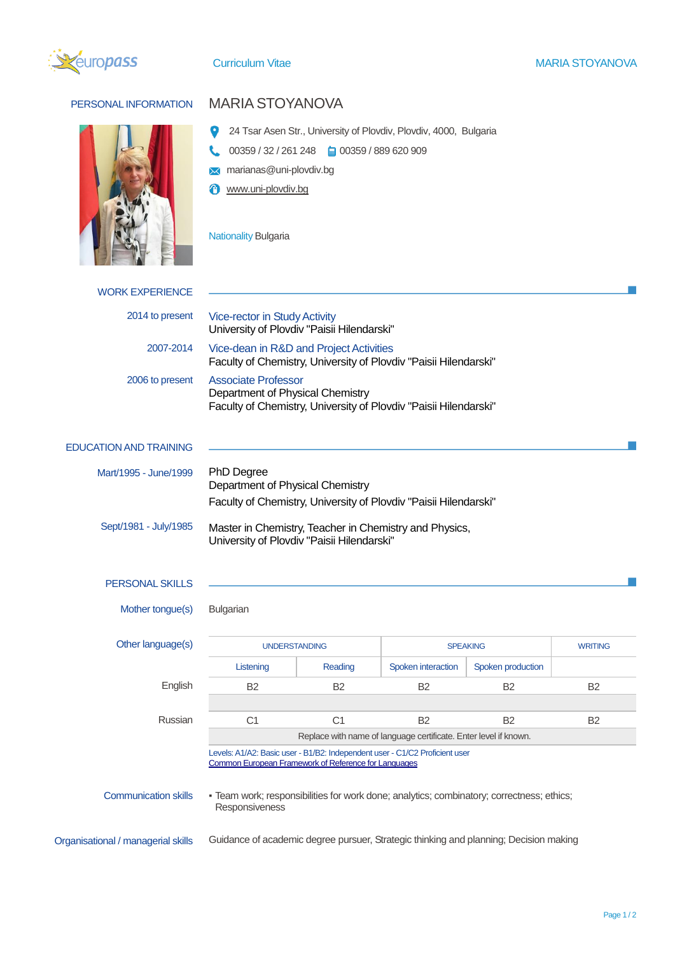



## PERSONAL INFORMATION MARIA STOYANOVA

- 24 Tsar Asen Str., University of Plovdiv, Plovdiv, 4000, Bulgaria
- $\mathbf{C}$ 00359 / 32 / 261 248 00359 / 889 620 909
- **M** marianas@uni-plovdiv.bg
- *Www.uni-plovdiv.bg*

Nationality Bulgaria

| <b>WORK EXPERIENCE</b>             |                                                                                                                                                                                                         |                |                    |                      |                |
|------------------------------------|---------------------------------------------------------------------------------------------------------------------------------------------------------------------------------------------------------|----------------|--------------------|----------------------|----------------|
| 2014 to present                    | Vice-rector in Study Activity<br>University of Plovdiv "Paisii Hilendarski"                                                                                                                             |                |                    |                      |                |
| 2007-2014                          | Vice-dean in R&D and Project Activities<br>Faculty of Chemistry, University of Plovdiv "Paisii Hilendarski"                                                                                             |                |                    |                      |                |
| 2006 to present                    | <b>Associate Professor</b><br>Department of Physical Chemistry<br>Faculty of Chemistry, University of Plovdiv "Paisii Hilendarski"                                                                      |                |                    |                      |                |
| <b>EDUCATION AND TRAINING</b>      |                                                                                                                                                                                                         |                |                    |                      |                |
| Mart/1995 - June/1999              | PhD Degree<br>Department of Physical Chemistry<br>Faculty of Chemistry, University of Plovdiv "Paisii Hilendarski"                                                                                      |                |                    |                      |                |
| Sept/1981 - July/1985              | Master in Chemistry, Teacher in Chemistry and Physics,<br>University of Plovdiv "Paisii Hilendarski"                                                                                                    |                |                    |                      |                |
| <b>PERSONAL SKILLS</b>             |                                                                                                                                                                                                         |                |                    |                      |                |
| Mother tongue(s)                   | Bulgarian                                                                                                                                                                                               |                |                    |                      |                |
| Other language(s)                  | <b>UNDERSTANDING</b>                                                                                                                                                                                    |                | <b>SPEAKING</b>    |                      | <b>WRITING</b> |
|                                    | Listening                                                                                                                                                                                               | Reading        | Spoken interaction | Spoken production    |                |
| English                            | B <sub>2</sub>                                                                                                                                                                                          | B <sub>2</sub> | B <sub>2</sub>     | <b>B<sub>2</sub></b> | B <sub>2</sub> |
|                                    |                                                                                                                                                                                                         |                |                    |                      |                |
| Russian                            | C <sub>1</sub>                                                                                                                                                                                          | C <sub>1</sub> | <b>B2</b>          | <b>B2</b>            | <b>B2</b>      |
|                                    | Replace with name of language certificate. Enter level if known.<br>Levels: A1/A2: Basic user - B1/B2: Independent user - C1/C2 Proficient user<br>Common European Framework of Reference for Languages |                |                    |                      |                |
| <b>Communication skills</b>        | - Team work; responsibilities for work done; analytics; combinatory; correctness; ethics;<br>Responsiveness                                                                                             |                |                    |                      |                |
| Organisational / managerial skills | Guidance of academic degree pursuer, Strategic thinking and planning; Decision making                                                                                                                   |                |                    |                      |                |